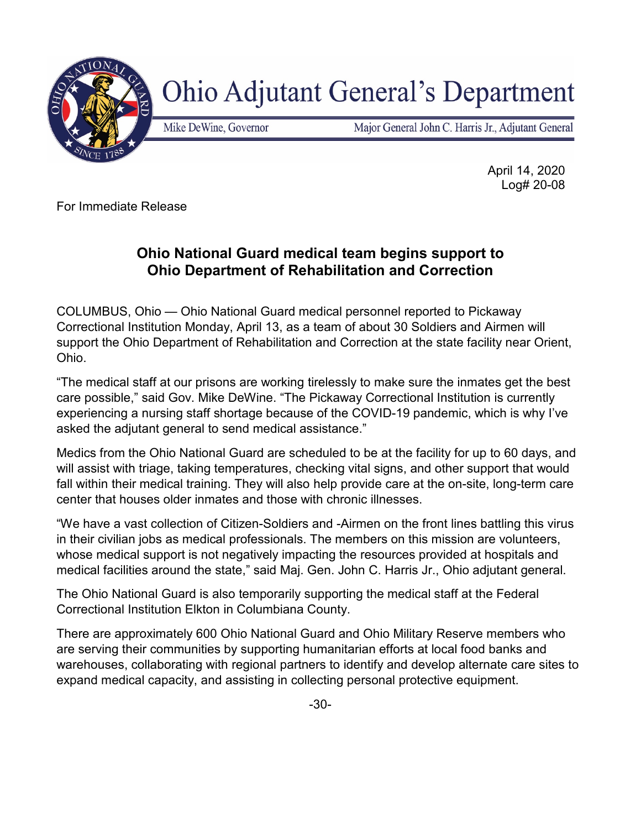

## **Ohio Adjutant General's Department**

Mike DeWine, Governor

Major General John C. Harris Jr., Adjutant General

April 14, 2020 Log# 20-08

For Immediate Release

## **Ohio National Guard medical team begins support to Ohio Department of Rehabilitation and Correction**

COLUMBUS, Ohio — Ohio National Guard medical personnel reported to Pickaway Correctional Institution Monday, April 13, as a team of about 30 Soldiers and Airmen will support the Ohio Department of Rehabilitation and Correction at the state facility near Orient, Ohio.

"The medical staff at our prisons are working tirelessly to make sure the inmates get the best care possible," said Gov. Mike DeWine. "The Pickaway Correctional Institution is currently experiencing a nursing staff shortage because of the COVID-19 pandemic, which is why I've asked the adjutant general to send medical assistance."

Medics from the Ohio National Guard are scheduled to be at the facility for up to 60 days, and will assist with triage, taking temperatures, checking vital signs, and other support that would fall within their medical training. They will also help provide care at the on-site, long-term care center that houses older inmates and those with chronic illnesses.

"We have a vast collection of Citizen-Soldiers and -Airmen on the front lines battling this virus in their civilian jobs as medical professionals. The members on this mission are volunteers, whose medical support is not negatively impacting the resources provided at hospitals and medical facilities around the state," said Maj. Gen. John C. Harris Jr., Ohio adjutant general.

The Ohio National Guard is also temporarily supporting the medical staff at the Federal Correctional Institution Elkton in Columbiana County.

There are approximately 600 Ohio National Guard and Ohio Military Reserve members who are serving their communities by supporting humanitarian efforts at local food banks and warehouses, collaborating with regional partners to identify and develop alternate care sites to expand medical capacity, and assisting in collecting personal protective equipment.